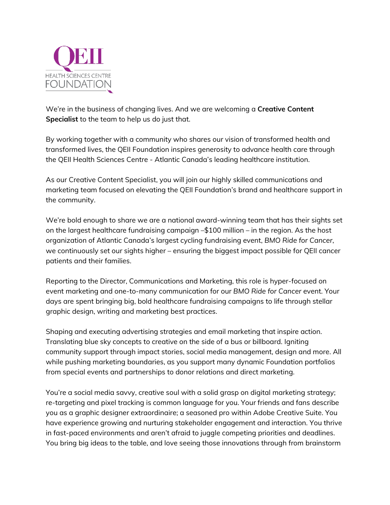

We're in the business of changing lives. And we are welcoming a **Creative Content Specialist** to the team to help us do just that.

By working together with a community who shares our vision of transformed health and transformed lives, the QEII Foundation inspires generosity to advance health care through the QEII Health Sciences Centre - Atlantic Canada's leading healthcare institution.

As our Creative Content Specialist, you will join our highly skilled communications and marketing team focused on elevating the QEII Foundation's brand and healthcare support in the community.

We're bold enough to share we are a national award-winning team that has their sights set on the largest healthcare fundraising campaign –\$100 million – in the region. As the host organization of Atlantic Canada's largest cycling fundraising event, *BMO Ride for Cancer*, we continuously set our sights higher – ensuring the biggest impact possible for QEII cancer patients and their families.

Reporting to the Director, Communications and Marketing, this role is hyper-focused on event marketing and one-to-many communication for our *BMO Ride for Cancer* event. Your days are spent bringing big, bold healthcare fundraising campaigns to life through stellar graphic design, writing and marketing best practices.

Shaping and executing advertising strategies and email marketing that inspire action. Translating blue sky concepts to creative on the side of a bus or billboard. Igniting community support through impact stories, social media management, design and more. All while pushing marketing boundaries, as you support many dynamic Foundation portfolios from special events and partnerships to donor relations and direct marketing.

You're a social media savvy, creative soul with a solid grasp on digital marketing strategy; re-targeting and pixel tracking is common language for you. Your friends and fans describe you as a graphic designer extraordinaire; a seasoned pro within Adobe Creative Suite. You have experience growing and nurturing stakeholder engagement and interaction. You thrive in fast-paced environments and aren't afraid to juggle competing priorities and deadlines. You bring big ideas to the table, and love seeing those innovations through from brainstorm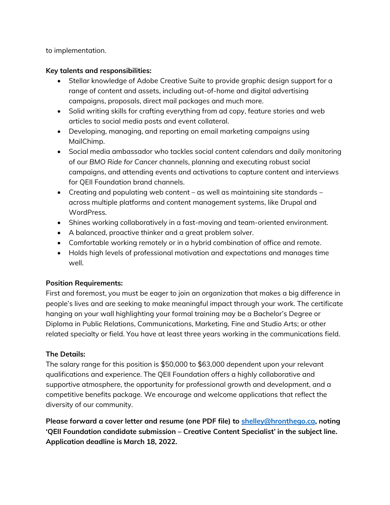to implementation.

## **Key talents and responsibilities:**

- Stellar knowledge of Adobe Creative Suite to provide graphic design support for a range of content and assets, including out-of-home and digital advertising campaigns, proposals, direct mail packages and much more.
- Solid writing skills for crafting everything from ad copy, feature stories and web articles to social media posts and event collateral.
- Developing, managing, and reporting on email marketing campaigns using MailChimp.
- Social media ambassador who tackles social content calendars and daily monitoring of our *BMO Ride for Cancer* channels, planning and executing robust social campaigns, and attending events and activations to capture content and interviews for QEII Foundation brand channels.
- Creating and populating web content as well as maintaining site standards across multiple platforms and content management systems, like Drupal and WordPress.
- Shines working collaboratively in a fast-moving and team-oriented environment.
- A balanced, proactive thinker and a great problem solver.
- Comfortable working remotely or in a hybrid combination of office and remote.
- Holds high levels of professional motivation and expectations and manages time well.

## **Position Requirements:**

First and foremost, you must be eager to join an organization that makes a big difference in people's lives and are seeking to make meaningful impact through your work. The certificate hanging on your wall highlighting your formal training may be a Bachelor's Degree or Diploma in Public Relations, Communications, Marketing, Fine and Studio Arts; or other related specialty or field. You have at least three years working in the communications field.

## **The Details:**

The salary range for this position is \$50,000 to \$63,000 dependent upon your relevant qualifications and experience. The QEII Foundation offers a highly collaborative and supportive atmosphere, the opportunity for professional growth and development, and a competitive benefits package. We encourage and welcome applications that reflect the diversity of our community.

**Please forward a cover letter and resume (one PDF file) to [shelley@hronthego.ca,](mailto:shelley@hronthego.ca) noting 'QEII Foundation candidate submission – Creative Content Specialist' in the subject line. Application deadline is March 18, 2022.**